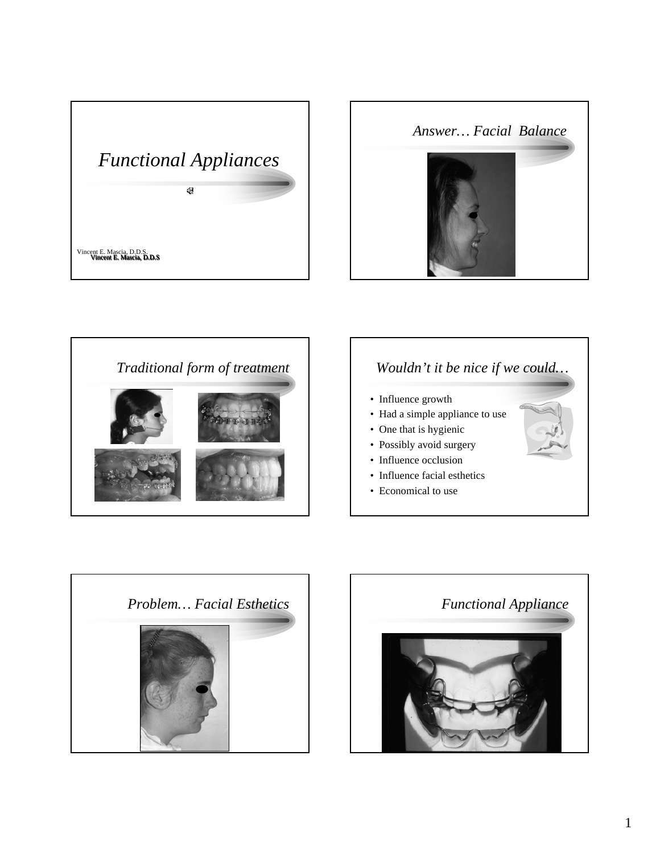





### *Wouldn't it be nice if we could…*

- Influence growth
- Had a simple appliance to use
- One that is hygienic
- Possibly avoid surgery
- Influence occlusion
- Influence facial esthetics
- Economical to use





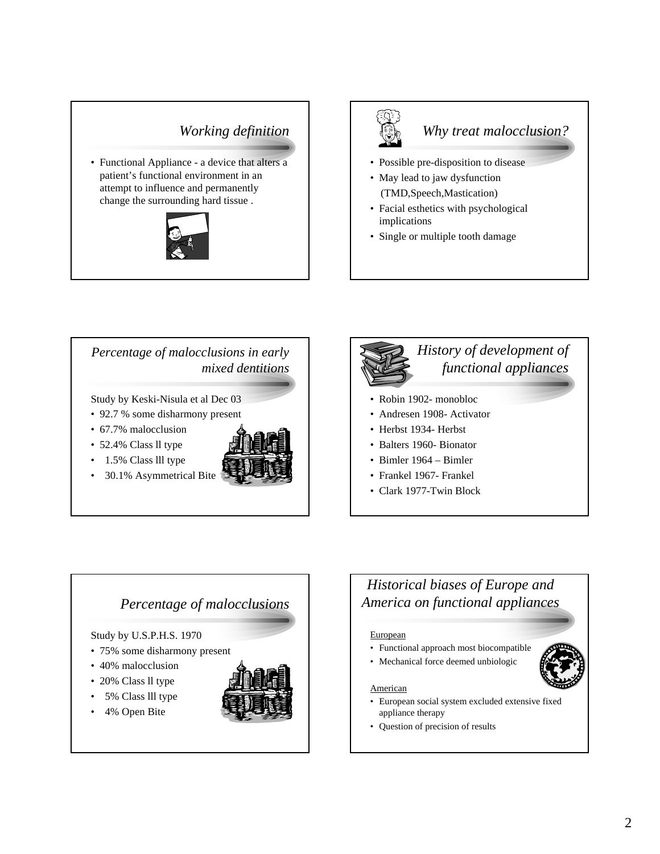### *Working definition*

• Functional Appliance - a device that alters a patient's functional environment in an attempt to influence and permanently change the surrounding hard tissue .





## *Why treat malocclusion?*

- Possible pre-disposition to disease
- May lead to jaw dysfunction (TMD,Speech,Mastication)
- Facial esthetics with psychological implications
- Single or multiple tooth damage

#### *Percentage of malocclusions in early mixed dentitions*

Study by Keski-Nisula et al Dec 03

- 92.7 % some disharmony present
- 67.7% malocclusion
- 52.4% Class ll type
- 1.5% Class III type
- 30.1% Asymmetrical Bite



# *History of development of functional appliances* • Robin 1902- monobloc • Andresen 1908- Activator

- Herbst 1934- Herbst
- Balters 1960- Bionator
- Bimler 1964 Bimler
- Frankel 1967- Frankel
- Clark 1977-Twin Block

#### *Percentage of malocclusions*

#### Study by U.S.P.H.S. 1970

- 75% some disharmony present
- 40% malocclusion
- 20% Class ll type
- 5% Class lll type
- 4% Open Bite



### *Historical biases of Europe and America on functional appliances*

#### **European**

• Functional approach most biocompatible • Mechanical force deemed unbiologic



#### American

- European social system excluded extensive fixed appliance therapy
- Question of precision of results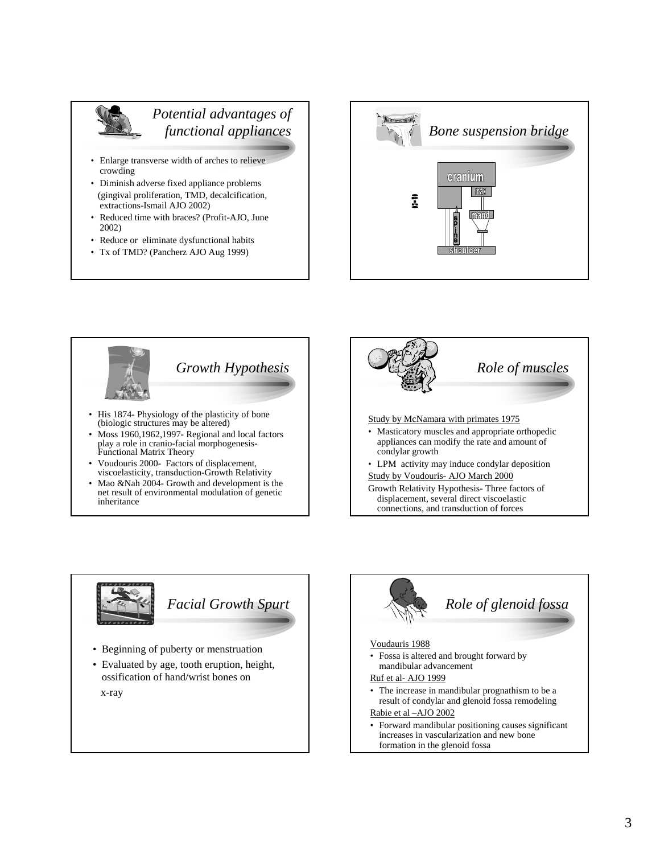

#### *Potential advantages of functional appliances*

- Enlarge transverse width of arches to relieve crowding
- Diminish adverse fixed appliance problems (gingival proliferation, TMD, decalcification, extractions-Ismail AJO 2002)
- Reduced time with braces? (Profit-AJO, June 2002)
- Reduce or eliminate dysfunctional habits
- Tx of TMD? (Pancherz AJO Aug 1999)





- (biologic structures may be altered)
- Moss 1960,1962,1997- Regional and local factors play a role in cranio-facial morphogenesis-Functional Matrix Theory
- Voudouris 2000- Factors of displacement, viscoelasticity, transduction-Growth Relativity
- Mao &Nah 2004- Growth and development is the net result of environmental modulation of genetic inheritance





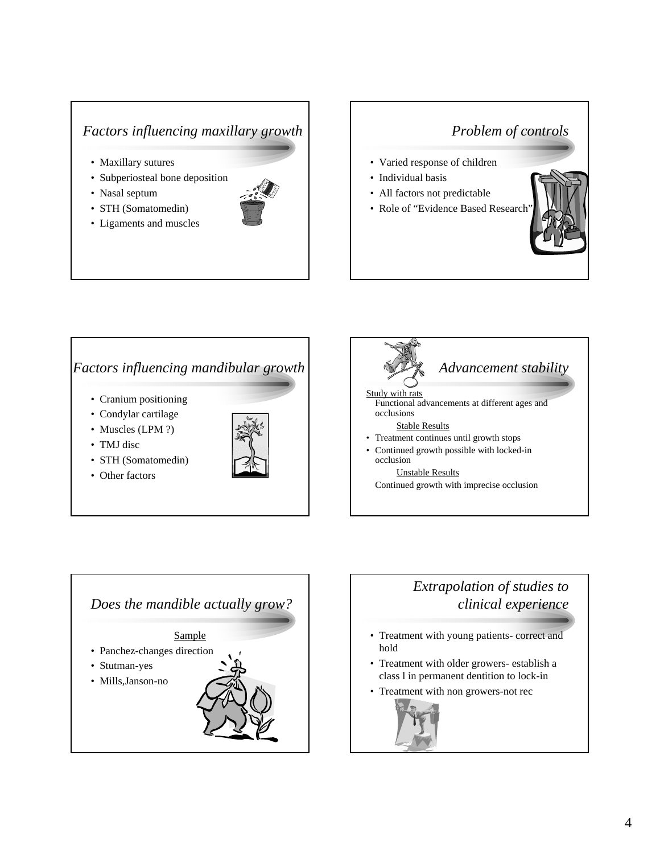## *Factors influencing maxillary growth*

• Maxillary sutures

• STH (Somatomedin) • Ligaments and muscles

- Subperiosteal bone deposition
- Nasal septum
- 

### *Problem of controls*

- Varied response of children
- Individual basis
- All factors not predictable
- Role of "Evidence Based Research"



#### *Factors influencing mandibular growth*

- Cranium positioning
- Condylar cartilage
- Muscles (LPM ?)
- TMJ disc
- STH (Somatomedin)
- Other factors







# *Extrapolation of studies to clinical experience*

- Treatment with young patients- correct and hold
- Treatment with older growers- establish a class l in permanent dentition to lock-in
- Treatment with non growers-not rec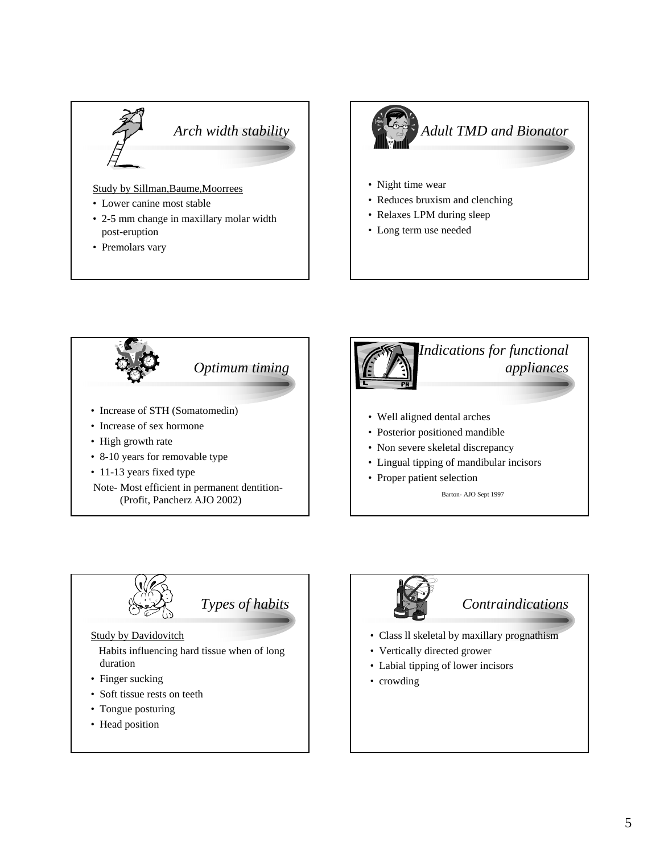

- 2-5 mm change in maxillary molar width post-eruption
- Premolars vary







- Soft tissue rests on teeth
- Tongue posturing
- Head position
- *Contraindications*
- Class ll skeletal by maxillary prognathism
- Vertically directed grower
- Labial tipping of lower incisors
- crowding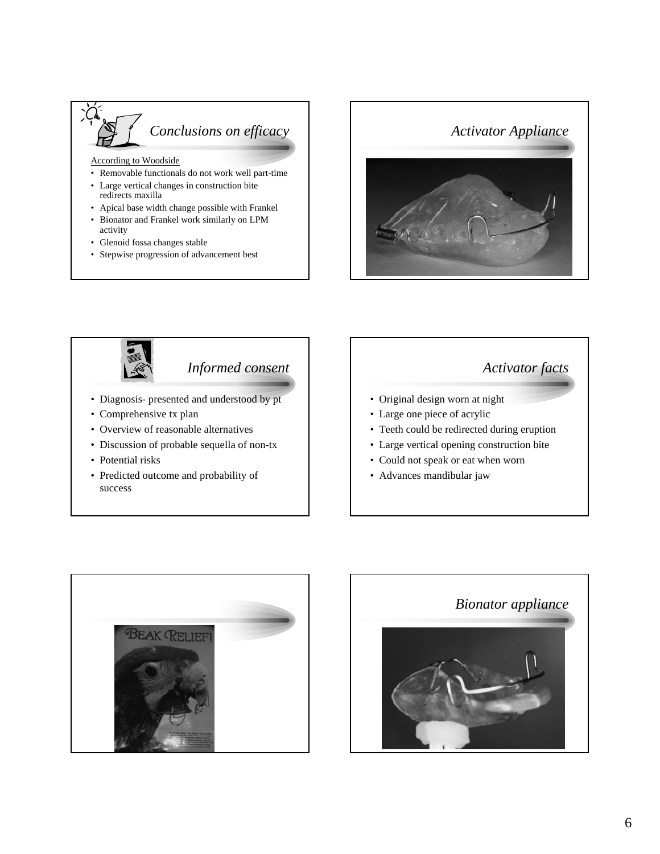

According to Woodside

- Removable functionals do not work well part-time
- Large vertical changes in construction bite redirects maxilla
- Apical base width change possible with Frankel
- Bionator and Frankel work similarly on LPM activity
- Glenoid fossa changes stable
- Stepwise progression of advancement best





## *Informed consent*

- Diagnosis- presented and understood by pt
- Comprehensive tx plan
- Overview of reasonable alternatives
- Discussion of probable sequella of non-tx
- Potential risks
- Predicted outcome and probability of success





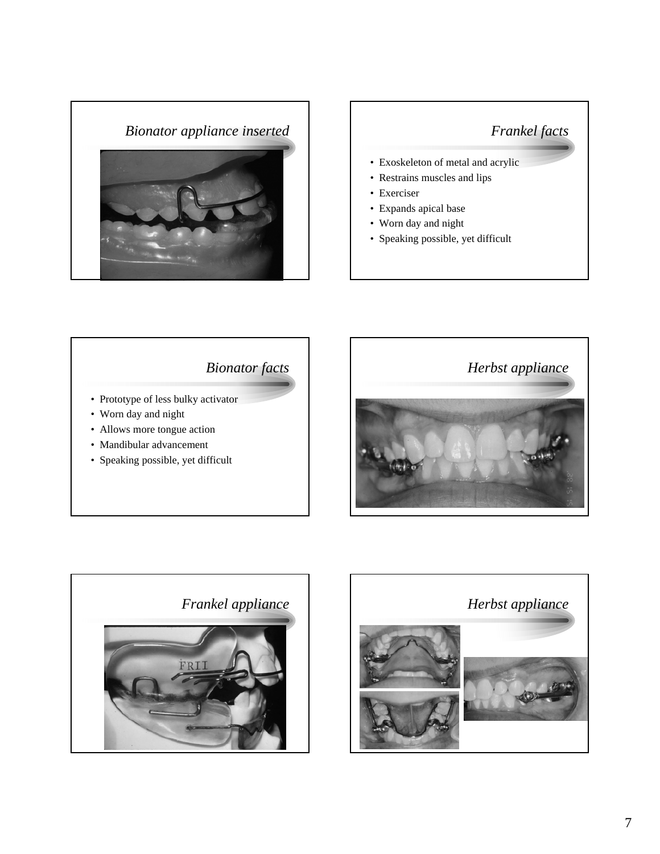

## *Frankel facts*

- Exoskeleton of metal and acrylic
- Restrains muscles and lips
- Exerciser
- Expands apical base
- Worn day and night
- Speaking possible, yet difficult

## *Bionator facts*

- Prototype of less bulky activator
- Worn day and night
- Allows more tongue action
- Mandibular advancement
- Speaking possible, yet difficult